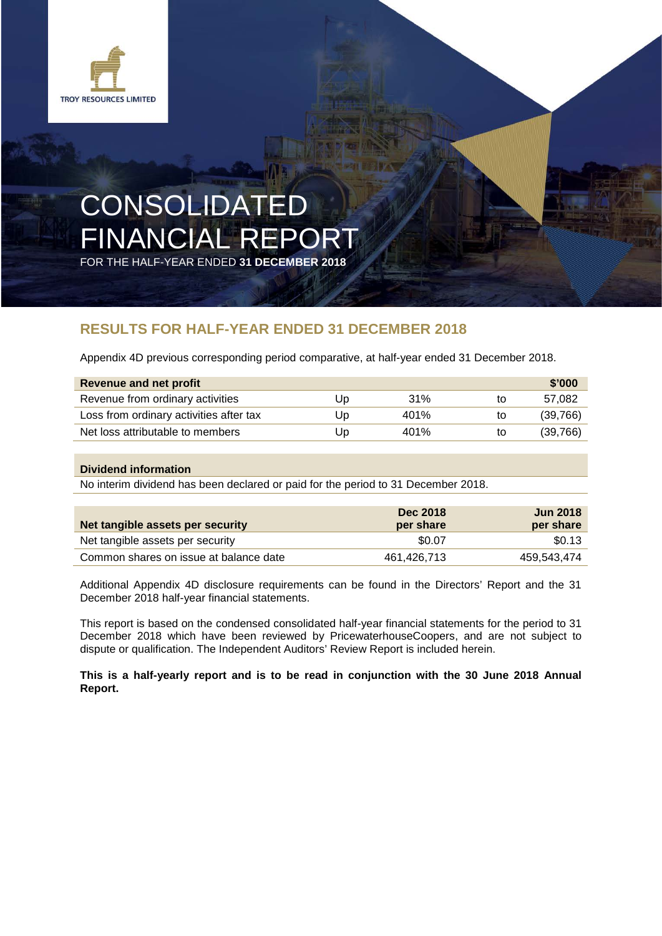

# CONSOLIDATED FINANCIAL REPORT

FOR THE HALF-YEAR ENDED **31 DECEMBER 2018**

### **RESULTS FOR HALF-YEAR ENDED 31 DECEMBER 2018**

Appendix 4D previous corresponding period comparative, at half-year ended 31 December 2018.

| Revenue and net profit                  |    |      |    | \$'000   |
|-----------------------------------------|----|------|----|----------|
| Revenue from ordinary activities        | UD | 31%  | to | 57.082   |
| Loss from ordinary activities after tax | Up | 401% | to | (39,766) |
| Net loss attributable to members        | Up | 401% | to | (39,766) |

#### **Dividend information**

No interim dividend has been declared or paid for the period to 31 December 2018.

| Net tangible assets per security       | <b>Dec 2018</b><br>per share | <b>Jun 2018</b><br>per share |
|----------------------------------------|------------------------------|------------------------------|
| Net tangible assets per security       | \$0.07                       | \$0.13                       |
| Common shares on issue at balance date | 461.426.713                  | 459.543.474                  |

Additional Appendix 4D disclosure requirements can be found in the Directors' Report and the 31 December 2018 half-year financial statements.

This report is based on the condensed consolidated half-year financial statements for the period to 31 December 2018 which have been reviewed by PricewaterhouseCoopers, and are not subject to dispute or qualification. The Independent Auditors' Review Report is included herein.

#### **This is a half-yearly report and is to be read in conjunction with the 30 June 2018 Annual Report.**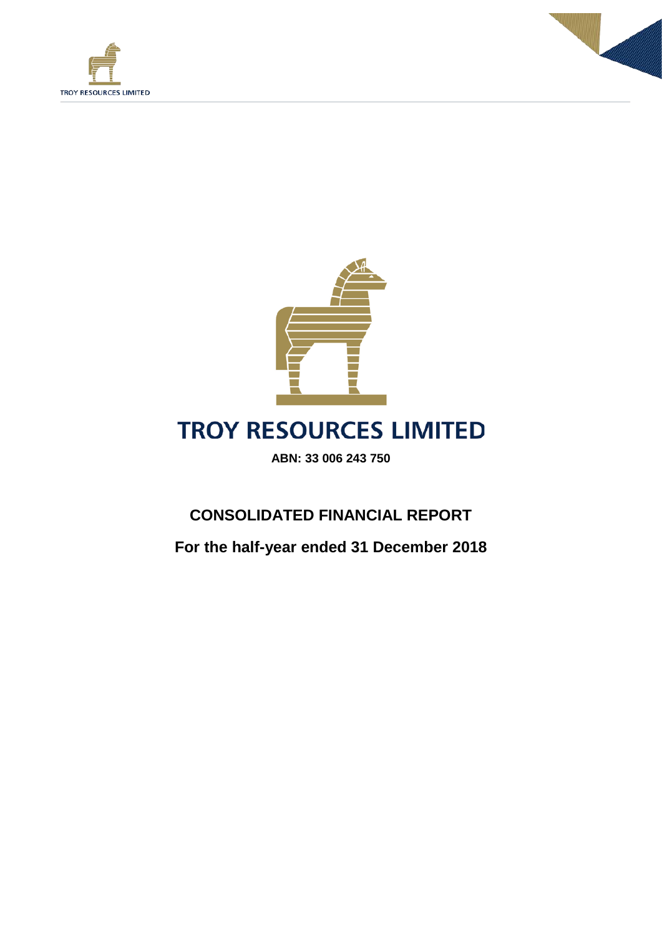





## **TROY RESOURCES LIMITED**

**ABN: 33 006 243 750**

## **CONSOLIDATED FINANCIAL REPORT**

**For the half-year ended 31 December 2018**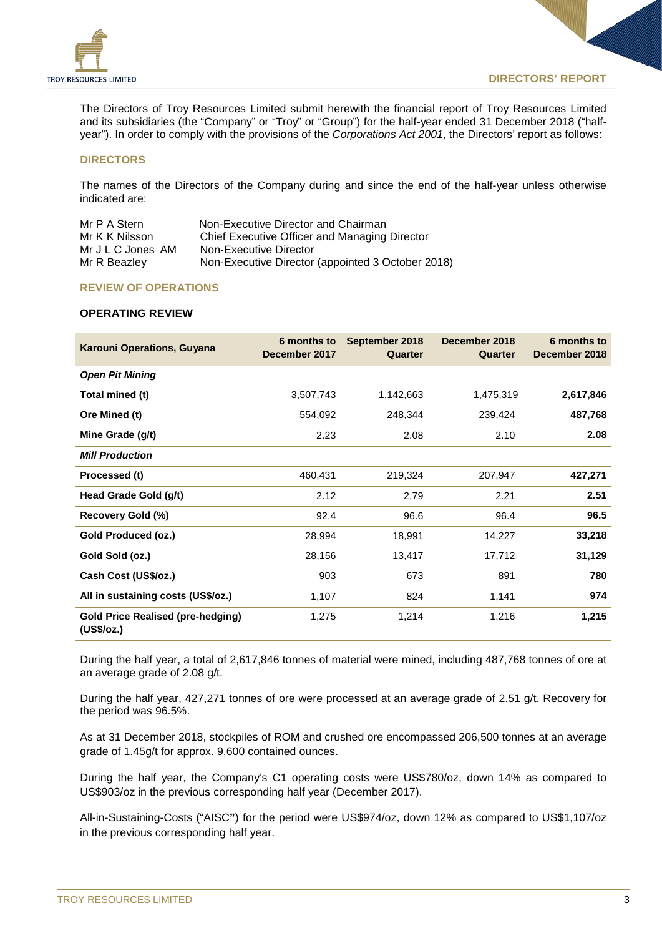

The Directors of Troy Resources Limited submit herewith the financial report of Troy Resources Limited and its subsidiaries (the "Company" or "Troy" or "Group") for the half-year ended 31 December 2018 ("halfyear"). In order to comply with the provisions of the *Corporations Act 2001*, the Directors' report as follows:

#### **DIRECTORS**

The names of the Directors of the Company during and since the end of the half-year unless otherwise indicated are:

| Mr P A Stern      | Non-Executive Director and Chairman               |
|-------------------|---------------------------------------------------|
| Mr K K Nilsson    | Chief Executive Officer and Managing Director     |
| Mr J L C Jones AM | Non-Executive Director                            |
| Mr R Beazley      | Non-Executive Director (appointed 3 October 2018) |

#### **REVIEW OF OPERATIONS**

#### **OPERATING REVIEW**

| <b>Karouni Operations, Guyana</b>                      | 6 months to<br>December 2017 | September 2018<br>Quarter | December 2018<br>Quarter | 6 months to<br>December 2018 |
|--------------------------------------------------------|------------------------------|---------------------------|--------------------------|------------------------------|
| <b>Open Pit Mining</b>                                 |                              |                           |                          |                              |
| Total mined (t)                                        | 3,507,743                    | 1,142,663                 | 1,475,319                | 2,617,846                    |
| Ore Mined (t)                                          | 554,092                      | 248,344                   | 239,424                  | 487,768                      |
| Mine Grade (g/t)                                       | 2.23                         | 2.08                      | 2.10                     | 2.08                         |
| <b>Mill Production</b>                                 |                              |                           |                          |                              |
| Processed (t)                                          | 460,431                      | 219,324                   | 207,947                  | 427,271                      |
| Head Grade Gold (g/t)                                  | 2.12                         | 2.79                      | 2.21                     | 2.51                         |
| Recovery Gold (%)                                      | 92.4                         | 96.6                      | 96.4                     | 96.5                         |
| Gold Produced (oz.)                                    | 28,994                       | 18,991                    | 14,227                   | 33,218                       |
| Gold Sold (oz.)                                        | 28,156                       | 13,417                    | 17,712                   | 31,129                       |
| Cash Cost (US\$/oz.)                                   | 903                          | 673                       | 891                      | 780                          |
| All in sustaining costs (US\$/oz.)                     | 1,107                        | 824                       | 1,141                    | 974                          |
| <b>Gold Price Realised (pre-hedging)</b><br>(US\$/oz.) | 1,275                        | 1,214                     | 1,216                    | 1,215                        |

During the half year, a total of 2,617,846 tonnes of material were mined, including 487,768 tonnes of ore at an average grade of 2.08 g/t.

During the half year, 427,271 tonnes of ore were processed at an average grade of 2.51 g/t. Recovery for the period was 96.5%.

As at 31 December 2018, stockpiles of ROM and crushed ore encompassed 206,500 tonnes at an average grade of 1.45g/t for approx. 9,600 contained ounces.

During the half year, the Company's C1 operating costs were US\$780/oz, down 14% as compared to US\$903/oz in the previous corresponding half year (December 2017).

All-in-Sustaining-Costs ("AISC**"**) for the period were US\$974/oz, down 12% as compared to US\$1,107/oz in the previous corresponding half year.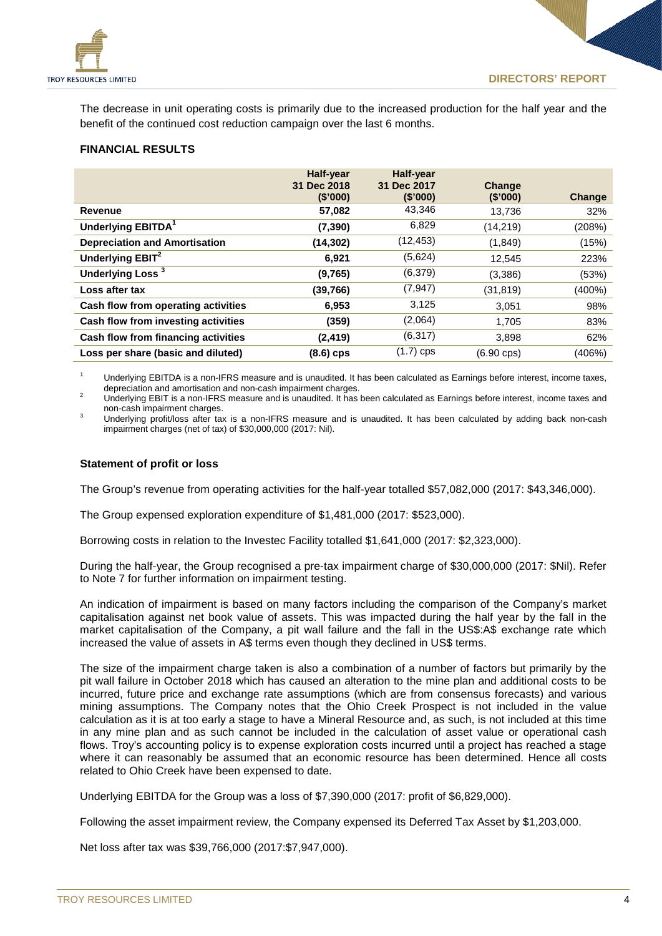

The decrease in unit operating costs is primarily due to the increased production for the half year and the benefit of the continued cost reduction campaign over the last 6 months.

#### **FINANCIAL RESULTS**

|                                      | <b>Half-year</b><br>31 Dec 2018<br>(S'000) | <b>Half-year</b><br>31 Dec 2017<br>(\$'000) | Change<br>(S'000)    | Change |
|--------------------------------------|--------------------------------------------|---------------------------------------------|----------------------|--------|
| Revenue                              | 57,082                                     | 43,346                                      | 13,736               | 32%    |
| Underlying EBITDA <sup>1</sup>       | (7, 390)                                   | 6,829                                       | (14,219)             | (208%) |
| <b>Depreciation and Amortisation</b> | (14, 302)                                  | (12, 453)                                   | (1,849)              | (15%)  |
| Underlying EBIT <sup>2</sup>         | 6,921                                      | (5,624)                                     | 12,545               | 223%   |
| Underlying Loss <sup>3</sup>         | (9,765)                                    | (6,379)                                     | (3,386)              | (53%)  |
| Loss after tax                       | (39,766)                                   | (7, 947)                                    | (31, 819)            | (400%) |
| Cash flow from operating activities  | 6.953                                      | 3,125                                       | 3.051                | 98%    |
| Cash flow from investing activities  | (359)                                      | (2,064)                                     | 1.705                | 83%    |
| Cash flow from financing activities  | (2, 419)                                   | (6,317)                                     | 3,898                | 62%    |
| Loss per share (basic and diluted)   | $(8.6)$ cps                                | $(1.7)$ cps                                 | $(6.90 \text{ cps})$ | (406%) |

<sup>1</sup> Underlying EBITDA is a non-IFRS measure and is unaudited. It has been calculated as Earnings before interest, income taxes, depreciation and amortisation and non-cash impairment charges.

depreciation and amous cash in and and and amount charges.<br>2 Underlying EBIT is a non-IFRS measure and is unaudited. It has been calculated as Earnings before interest, income taxes and<br>1 non-cash impairment charges.

<sup>3</sup> Underlying profit/loss after tax is a non-IFRS measure and is unaudited. It has been calculated by adding back non-cash impairment charges (net of tax) of \$30,000,000 (2017: Nil).

#### **Statement of profit or loss**

The Group's revenue from operating activities for the half-year totalled \$57,082,000 (2017: \$43,346,000).

The Group expensed exploration expenditure of \$1,481,000 (2017: \$523,000).

Borrowing costs in relation to the Investec Facility totalled \$1,641,000 (2017: \$2,323,000).

During the half-year, the Group recognised a pre-tax impairment charge of \$30,000,000 (2017: \$Nil). Refer to Note 7 for further information on impairment testing.

An indication of impairment is based on many factors including the comparison of the Company's market capitalisation against net book value of assets. This was impacted during the half year by the fall in the market capitalisation of the Company, a pit wall failure and the fall in the US\$:A\$ exchange rate which increased the value of assets in A\$ terms even though they declined in US\$ terms.

The size of the impairment charge taken is also a combination of a number of factors but primarily by the pit wall failure in October 2018 which has caused an alteration to the mine plan and additional costs to be incurred, future price and exchange rate assumptions (which are from consensus forecasts) and various mining assumptions. The Company notes that the Ohio Creek Prospect is not included in the value calculation as it is at too early a stage to have a Mineral Resource and, as such, is not included at this time in any mine plan and as such cannot be included in the calculation of asset value or operational cash flows. Troy's accounting policy is to expense exploration costs incurred until a project has reached a stage where it can reasonably be assumed that an economic resource has been determined. Hence all costs related to Ohio Creek have been expensed to date.

Underlying EBITDA for the Group was a loss of \$7,390,000 (2017: profit of \$6,829,000).

Following the asset impairment review, the Company expensed its Deferred Tax Asset by \$1,203,000.

Net loss after tax was \$39,766,000 (2017:\$7,947,000).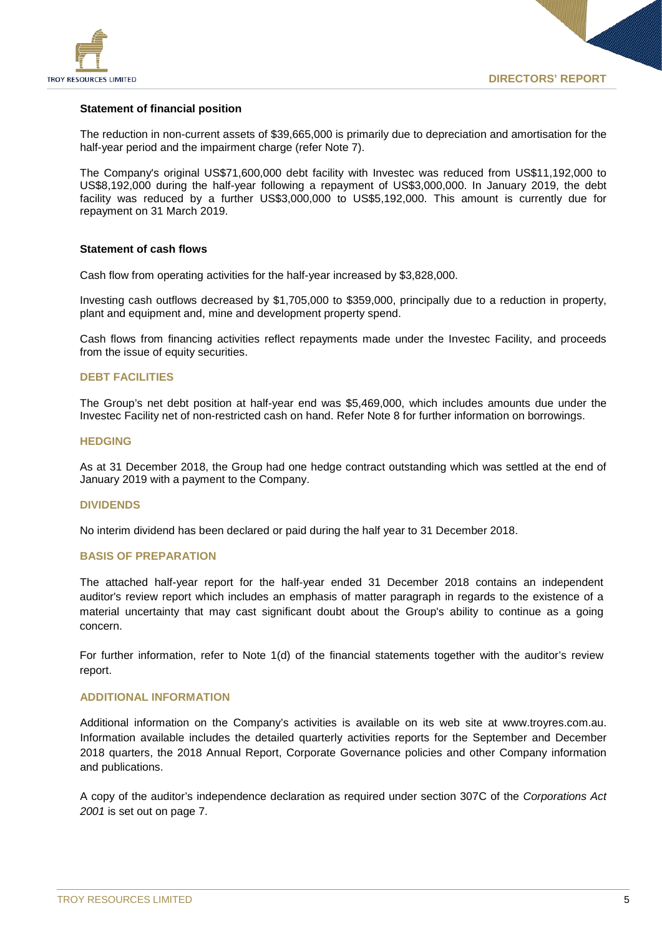

#### **Statement of financial position**

The reduction in non-current assets of \$39,665,000 is primarily due to depreciation and amortisation for the half-year period and the impairment charge (refer Note 7).

The Company's original US\$71,600,000 debt facility with Investec was reduced from US\$11,192,000 to US\$8,192,000 during the half-year following a repayment of US\$3,000,000. In January 2019, the debt facility was reduced by a further US\$3,000,000 to US\$5,192,000. This amount is currently due for repayment on 31 March 2019.

#### **Statement of cash flows**

Cash flow from operating activities for the half-year increased by \$3,828,000.

Investing cash outflows decreased by \$1,705,000 to \$359,000, principally due to a reduction in property, plant and equipment and, mine and development property spend.

Cash flows from financing activities reflect repayments made under the Investec Facility, and proceeds from the issue of equity securities.

#### **DEBT FACILITIES**

The Group's net debt position at half-year end was \$5,469,000, which includes amounts due under the Investec Facility net of non-restricted cash on hand. Refer Note 8 for further information on borrowings.

#### **HEDGING**

As at 31 December 2018, the Group had one hedge contract outstanding which was settled at the end of January 2019 with a payment to the Company.

#### **DIVIDENDS**

No interim dividend has been declared or paid during the half year to 31 December 2018.

#### **BASIS OF PREPARATION**

The attached half-year report for the half-year ended 31 December 2018 contains an independent auditor's review report which includes an emphasis of matter paragraph in regards to the existence of a material uncertainty that may cast significant doubt about the Group's ability to continue as a going concern.

For further information, refer to Note 1(d) of the financial statements together with the auditor's review report.

#### **ADDITIONAL INFORMATION**

Additional information on the Company's activities is available on its web site at www.troyres.com.au. Information available includes the detailed quarterly activities reports for the September and December 2018 quarters, the 2018 Annual Report, Corporate Governance policies and other Company information and publications.

A copy of the auditor's independence declaration as required under section 307C of the *Corporations Act 2001* is set out on page 7.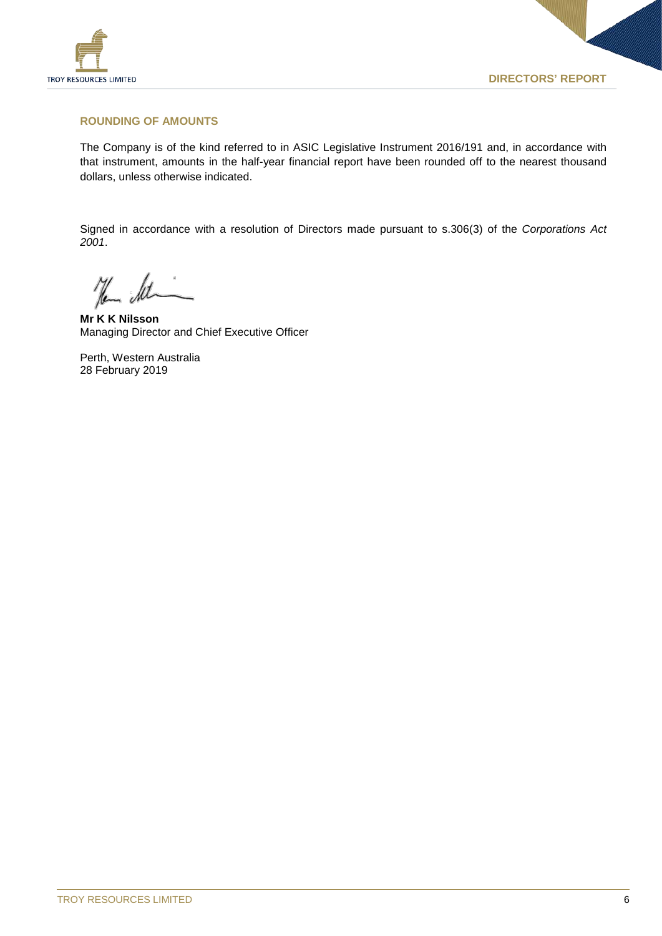

#### **ROUNDING OF AMOUNTS**

The Company is of the kind referred to in ASIC Legislative Instrument 2016/191 and, in accordance with that instrument, amounts in the half-year financial report have been rounded off to the nearest thousand dollars, unless otherwise indicated.

Signed in accordance with a resolution of Directors made pursuant to s.306(3) of the *Corporations Act 2001*.

Hem det

**Mr K K Nilsson** Managing Director and Chief Executive Officer

Perth, Western Australia 28 February 2019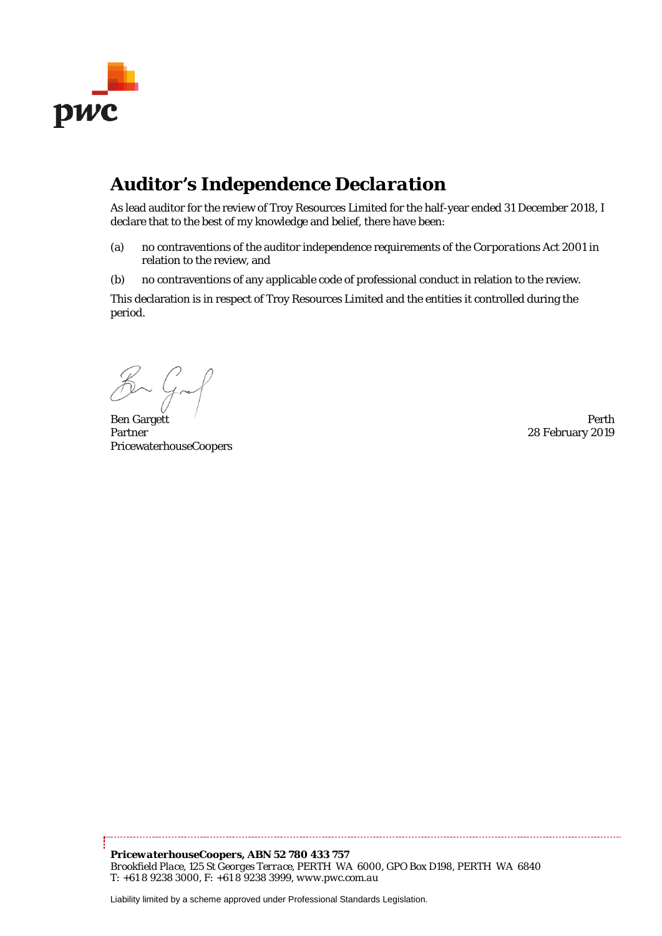

## *Auditor's Independence Declaration*

As lead auditor for the review of Troy Resources Limited for the half-year ended 31 December 2018, I declare that to the best of my knowledge and belief, there have been:

- (a) no contraventions of the auditor independence requirements of the *Corporations Act 2001* in relation to the review, and
- (b) no contraventions of any applicable code of professional conduct in relation to the review.

This declaration is in respect of Troy Resources Limited and the entities it controlled during the period.

Kan Graf

Ben Gargett and the extension of the extension of the extension of the extension of the Perth Perth Partner PricewaterhouseCoopers

28 February 2019

Liability limited by a scheme approved under Professional Standards Legislation.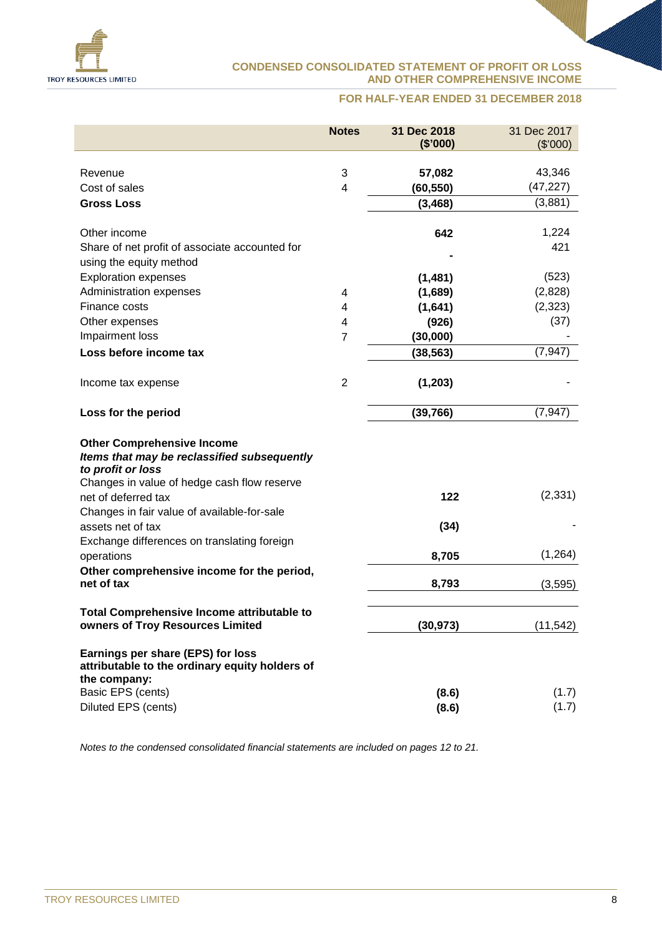

#### **CONDENSED CONSOLIDATED STATEMENT OF PROFIT OR LOSS AND OTHER COMPREHENSIVE INCOME**

#### **FOR HALF-YEAR ENDED 31 DECEMBER 2018**

|                                                                                                                                                      | <b>Notes</b>            | 31 Dec 2018<br>(\$'000) | 31 Dec 2017<br>(\$'000) |
|------------------------------------------------------------------------------------------------------------------------------------------------------|-------------------------|-------------------------|-------------------------|
|                                                                                                                                                      |                         |                         |                         |
| Revenue                                                                                                                                              | 3                       | 57,082                  | 43,346                  |
| Cost of sales                                                                                                                                        | $\overline{\mathbf{4}}$ | (60, 550)               | (47, 227)               |
| <b>Gross Loss</b>                                                                                                                                    |                         | (3, 468)                | (3,881)                 |
| Other income                                                                                                                                         |                         | 642                     | 1,224                   |
| Share of net profit of associate accounted for                                                                                                       |                         |                         | 421                     |
| using the equity method                                                                                                                              |                         |                         |                         |
| <b>Exploration expenses</b>                                                                                                                          |                         | (1,481)                 | (523)                   |
| Administration expenses                                                                                                                              | 4                       | (1,689)                 | (2,828)                 |
| Finance costs                                                                                                                                        | 4                       | (1,641)                 | (2, 323)                |
| Other expenses                                                                                                                                       | 4                       | (926)                   | (37)                    |
| Impairment loss                                                                                                                                      | $\overline{7}$          | (30,000)                |                         |
| Loss before income tax                                                                                                                               |                         | (38, 563)               | (7, 947)                |
|                                                                                                                                                      |                         |                         |                         |
| Income tax expense                                                                                                                                   | $\overline{2}$          | (1, 203)                |                         |
| Loss for the period                                                                                                                                  |                         | (39, 766)               | (7, 947)                |
| <b>Other Comprehensive Income</b><br>Items that may be reclassified subsequently<br>to profit or loss<br>Changes in value of hedge cash flow reserve |                         |                         |                         |
| net of deferred tax<br>Changes in fair value of available-for-sale                                                                                   |                         | 122                     | (2, 331)                |
| assets net of tax<br>Exchange differences on translating foreign                                                                                     |                         | (34)                    |                         |
| operations                                                                                                                                           |                         | 8,705                   | (1, 264)                |
| Other comprehensive income for the period,<br>net of tax                                                                                             |                         | 8,793                   | (3, 595)                |
| <b>Total Comprehensive Income attributable to</b><br>owners of Troy Resources Limited                                                                |                         | (30, 973)               | (11, 542)               |
| Earnings per share (EPS) for loss<br>attributable to the ordinary equity holders of<br>the company:                                                  |                         |                         |                         |
| Basic EPS (cents)                                                                                                                                    |                         | (8.6)                   | (1.7)                   |
| Diluted EPS (cents)                                                                                                                                  |                         | (8.6)                   | (1.7)                   |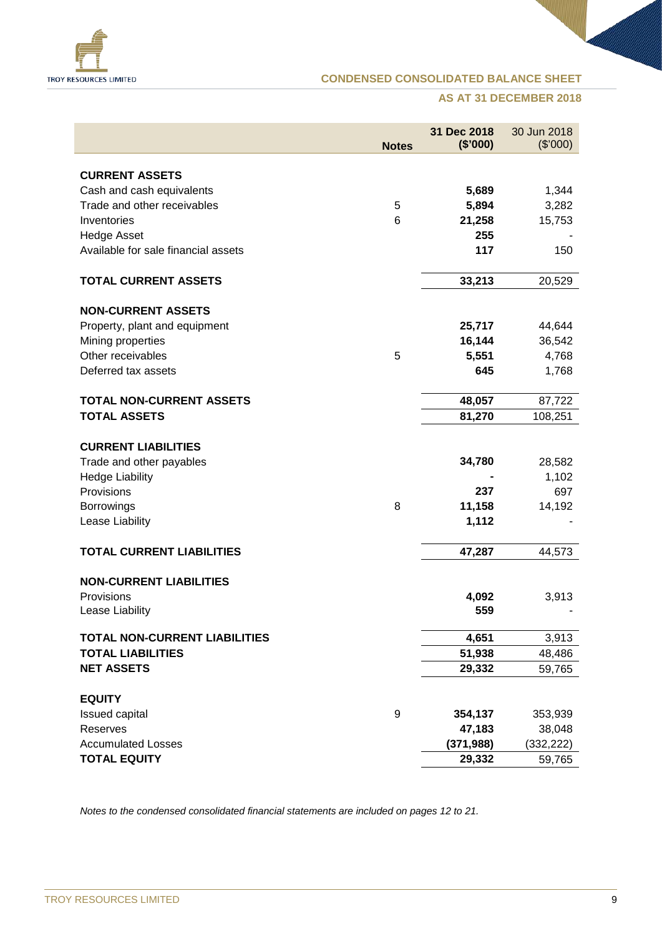

#### **CONDENSED CONSOLIDATED BALANCE SHEET**

#### **AS AT 31 DECEMBER 2018**

|                                      | <b>Notes</b> | 31 Dec 2018<br>(\$'000) | 30 Jun 2018<br>(\$'000) |
|--------------------------------------|--------------|-------------------------|-------------------------|
|                                      |              |                         |                         |
| <b>CURRENT ASSETS</b>                |              |                         |                         |
| Cash and cash equivalents            |              | 5,689                   | 1,344                   |
| Trade and other receivables          | 5            | 5,894                   | 3,282                   |
| Inventories                          | 6            | 21,258                  | 15,753                  |
| <b>Hedge Asset</b>                   |              | 255                     |                         |
| Available for sale financial assets  |              | 117                     | 150                     |
| <b>TOTAL CURRENT ASSETS</b>          |              | 33,213                  | 20,529                  |
| <b>NON-CURRENT ASSETS</b>            |              |                         |                         |
| Property, plant and equipment        |              | 25,717                  | 44,644                  |
| Mining properties                    |              | 16,144                  | 36,542                  |
| Other receivables                    | 5            | 5,551                   | 4,768                   |
| Deferred tax assets                  |              | 645                     | 1,768                   |
| <b>TOTAL NON-CURRENT ASSETS</b>      |              | 48,057                  | 87,722                  |
| <b>TOTAL ASSETS</b>                  |              | 81,270                  | 108,251                 |
|                                      |              |                         |                         |
| <b>CURRENT LIABILITIES</b>           |              |                         |                         |
| Trade and other payables             |              | 34,780                  | 28,582                  |
| <b>Hedge Liability</b>               |              |                         | 1,102                   |
| Provisions                           |              | 237                     | 697                     |
| <b>Borrowings</b>                    | 8            | 11,158                  | 14,192                  |
| Lease Liability                      |              | 1,112                   |                         |
| <b>TOTAL CURRENT LIABILITIES</b>     |              | 47,287                  | 44,573                  |
|                                      |              |                         |                         |
| <b>NON-CURRENT LIABILITIES</b>       |              |                         |                         |
| Provisions                           |              | 4,092                   | 3,913                   |
| Lease Liability                      |              | 559                     |                         |
| <b>TOTAL NON-CURRENT LIABILITIES</b> |              | 4,651                   | 3,913                   |
| <b>TOTAL LIABILITIES</b>             |              | 51,938                  | 48,486                  |
| <b>NET ASSETS</b>                    |              | 29,332                  | 59,765                  |
| <b>EQUITY</b>                        |              |                         |                         |
| <b>Issued capital</b>                | 9            | 354,137                 | 353,939                 |
| Reserves                             |              | 47,183                  | 38,048                  |
| <b>Accumulated Losses</b>            |              | (371, 988)              | (332, 222)              |
| <b>TOTAL EQUITY</b>                  |              | 29,332                  | 59,765                  |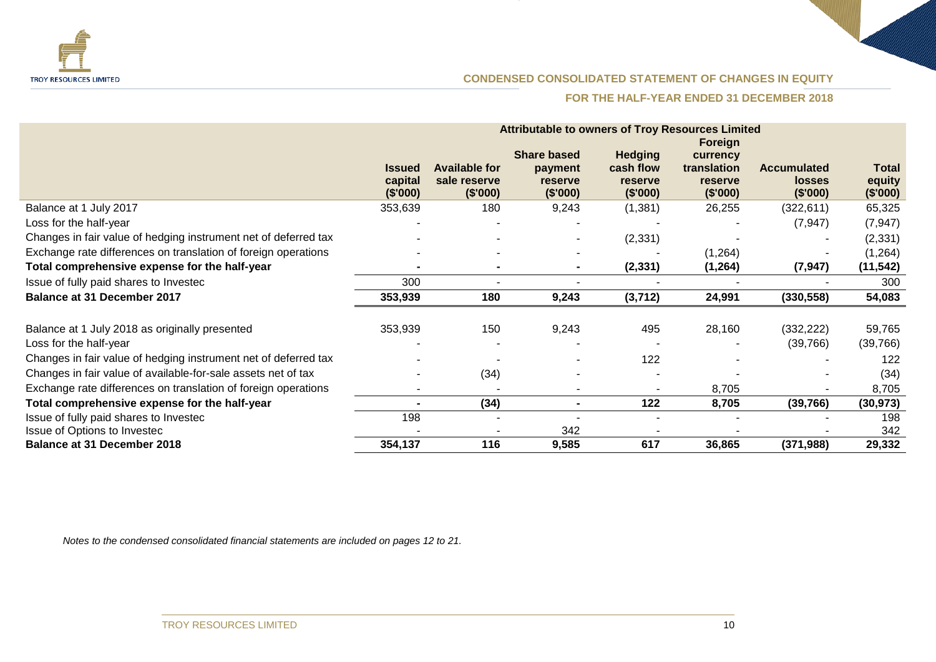

#### **CONDENSED CONSOLIDATED STATEMENT OF CHANGES IN EQUITY**

#### **FOR THE HALF-YEAR ENDED 31 DECEMBER 2018**

|                                                                          | <b>Attributable to owners of Troy Resources Limited</b> |                                                  |                                                      |                                                    |                                                           |                                                 |                                    |
|--------------------------------------------------------------------------|---------------------------------------------------------|--------------------------------------------------|------------------------------------------------------|----------------------------------------------------|-----------------------------------------------------------|-------------------------------------------------|------------------------------------|
|                                                                          | <b>Issued</b><br>capital<br>(\$'000)                    | <b>Available for</b><br>sale reserve<br>(\$'000) | <b>Share based</b><br>payment<br>reserve<br>(\$'000) | <b>Hedging</b><br>cash flow<br>reserve<br>(\$'000) | Foreign<br>currency<br>translation<br>reserve<br>(\$'000) | <b>Accumulated</b><br><b>losses</b><br>(\$'000) | <b>Total</b><br>equity<br>(\$'000) |
| Balance at 1 July 2017                                                   | 353,639                                                 | 180                                              | 9,243                                                | (1, 381)                                           | 26,255                                                    | (322, 611)                                      | 65,325                             |
| Loss for the half-year                                                   |                                                         |                                                  |                                                      |                                                    |                                                           | (7, 947)                                        | (7, 947)                           |
| Changes in fair value of hedging instrument net of deferred tax          |                                                         |                                                  |                                                      | (2, 331)                                           |                                                           |                                                 | (2, 331)                           |
| Exchange rate differences on translation of foreign operations           |                                                         |                                                  |                                                      |                                                    | (1,264)                                                   |                                                 | (1,264)                            |
| Total comprehensive expense for the half-year                            |                                                         | $\blacksquare$                                   | $\blacksquare$                                       | (2, 331)                                           | (1, 264)                                                  | (7, 947)                                        | (11, 542)                          |
| Issue of fully paid shares to Investec                                   | 300                                                     |                                                  |                                                      |                                                    |                                                           |                                                 | 300                                |
| <b>Balance at 31 December 2017</b>                                       | 353,939                                                 | 180                                              | 9,243                                                | (3,712)                                            | 24,991                                                    | (330, 558)                                      | 54,083                             |
| Balance at 1 July 2018 as originally presented<br>Loss for the half-year | 353,939                                                 | 150                                              | 9,243                                                | 495                                                | 28,160                                                    | (332, 222)<br>(39,766)                          | 59,765<br>(39,766)                 |
| Changes in fair value of hedging instrument net of deferred tax          |                                                         |                                                  |                                                      | 122                                                |                                                           |                                                 | 122                                |
| Changes in fair value of available-for-sale assets net of tax            |                                                         | (34)                                             |                                                      |                                                    |                                                           |                                                 | (34)                               |
| Exchange rate differences on translation of foreign operations           |                                                         |                                                  |                                                      |                                                    | 8,705                                                     |                                                 | 8,705                              |
| Total comprehensive expense for the half-year                            |                                                         | (34)                                             |                                                      | 122                                                | 8,705                                                     | (39, 766)                                       | (30, 973)                          |
| Issue of fully paid shares to Investec                                   | 198                                                     |                                                  |                                                      |                                                    |                                                           |                                                 | 198                                |
| Issue of Options to Investec                                             |                                                         |                                                  | 342                                                  |                                                    |                                                           |                                                 | 342                                |
| <b>Balance at 31 December 2018</b>                                       | 354,137                                                 | 116                                              | 9,585                                                | 617                                                | 36,865                                                    | (371, 988)                                      | 29,332                             |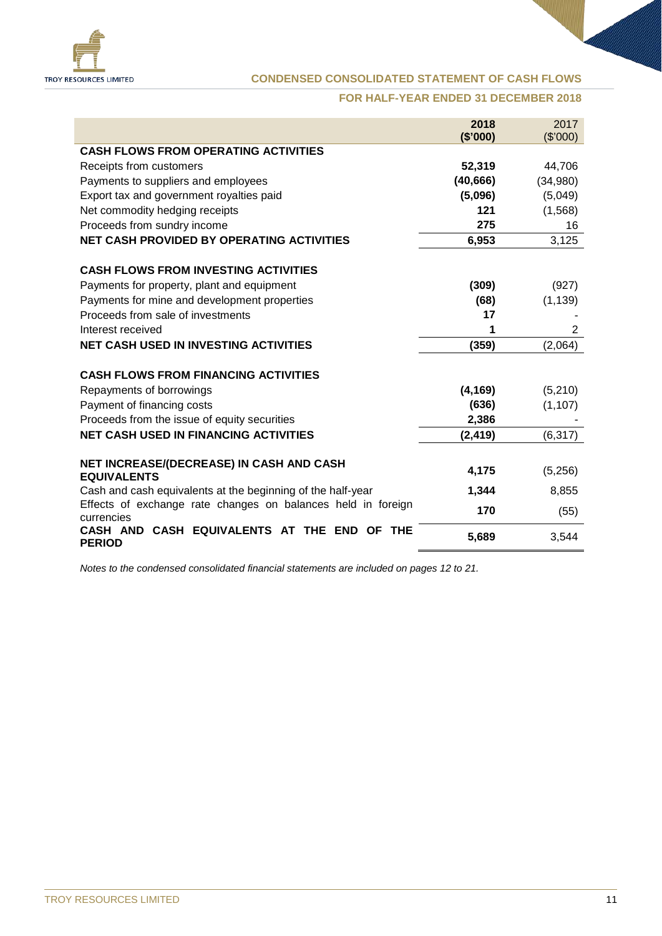

#### **CONDENSED CONSOLIDATED STATEMENT OF CASH FLOWS**

#### **FOR HALF-YEAR ENDED 31 DECEMBER 2018**

|                                                                            | 2018      | 2017     |
|----------------------------------------------------------------------------|-----------|----------|
|                                                                            | (\$'000)  | (\$'000) |
| <b>CASH FLOWS FROM OPERATING ACTIVITIES</b>                                |           |          |
| Receipts from customers                                                    | 52,319    | 44,706   |
| Payments to suppliers and employees                                        | (40, 666) | (34,980) |
| Export tax and government royalties paid                                   | (5,096)   | (5,049)  |
| Net commodity hedging receipts                                             | 121       | (1,568)  |
| Proceeds from sundry income                                                | 275       | 16       |
| <b>NET CASH PROVIDED BY OPERATING ACTIVITIES</b>                           | 6,953     | 3,125    |
| <b>CASH FLOWS FROM INVESTING ACTIVITIES</b>                                |           |          |
| Payments for property, plant and equipment                                 | (309)     | (927)    |
| Payments for mine and development properties                               | (68)      | (1, 139) |
| Proceeds from sale of investments                                          | 17        |          |
| Interest received                                                          | 1         | 2        |
| <b>NET CASH USED IN INVESTING ACTIVITIES</b>                               | (359)     | (2,064)  |
| <b>CASH FLOWS FROM FINANCING ACTIVITIES</b>                                |           |          |
| Repayments of borrowings                                                   | (4, 169)  | (5,210)  |
| Payment of financing costs                                                 | (636)     | (1, 107) |
| Proceeds from the issue of equity securities                               | 2,386     |          |
| <b>NET CASH USED IN FINANCING ACTIVITIES</b>                               | (2, 419)  | (6, 317) |
|                                                                            |           |          |
| NET INCREASE/(DECREASE) IN CASH AND CASH<br><b>EQUIVALENTS</b>             | 4,175     | (5,256)  |
| Cash and cash equivalents at the beginning of the half-year                | 1,344     | 8,855    |
| Effects of exchange rate changes on balances held in foreign<br>currencies | 170       | (55)     |
| CASH EQUIVALENTS AT THE END<br><b>CASH AND</b><br>OF THE<br><b>PERIOD</b>  | 5,689     | 3,544    |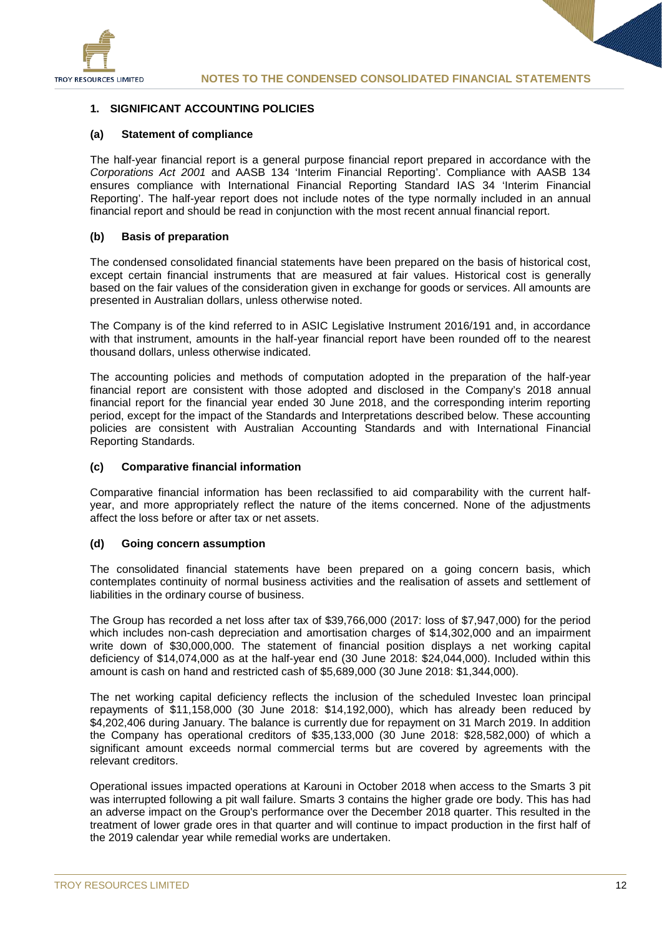

#### **1. SIGNIFICANT ACCOUNTING POLICIES**

#### **(a) Statement of compliance**

The half-year financial report is a general purpose financial report prepared in accordance with the *Corporations Act 2001* and AASB 134 'Interim Financial Reporting'. Compliance with AASB 134 ensures compliance with International Financial Reporting Standard IAS 34 'Interim Financial Reporting'. The half-year report does not include notes of the type normally included in an annual financial report and should be read in conjunction with the most recent annual financial report.

#### **(b) Basis of preparation**

The condensed consolidated financial statements have been prepared on the basis of historical cost, except certain financial instruments that are measured at fair values. Historical cost is generally based on the fair values of the consideration given in exchange for goods or services. All amounts are presented in Australian dollars, unless otherwise noted.

The Company is of the kind referred to in ASIC Legislative Instrument 2016/191 and, in accordance with that instrument, amounts in the half-year financial report have been rounded off to the nearest thousand dollars, unless otherwise indicated.

The accounting policies and methods of computation adopted in the preparation of the half-year financial report are consistent with those adopted and disclosed in the Company's 2018 annual financial report for the financial year ended 30 June 2018, and the corresponding interim reporting period, except for the impact of the Standards and Interpretations described below. These accounting policies are consistent with Australian Accounting Standards and with International Financial Reporting Standards.

#### **(c) Comparative financial information**

Comparative financial information has been reclassified to aid comparability with the current halfyear, and more appropriately reflect the nature of the items concerned. None of the adjustments affect the loss before or after tax or net assets.

#### **(d) Going concern assumption**

The consolidated financial statements have been prepared on a going concern basis, which contemplates continuity of normal business activities and the realisation of assets and settlement of liabilities in the ordinary course of business.

The Group has recorded a net loss after tax of \$39,766,000 (2017: loss of \$7,947,000) for the period which includes non-cash depreciation and amortisation charges of \$14,302,000 and an impairment write down of \$30,000,000. The statement of financial position displays a net working capital deficiency of \$14,074,000 as at the half-year end (30 June 2018: \$24,044,000). Included within this amount is cash on hand and restricted cash of \$5,689,000 (30 June 2018: \$1,344,000).

The net working capital deficiency reflects the inclusion of the scheduled Investec loan principal repayments of \$11,158,000 (30 June 2018: \$14,192,000), which has already been reduced by \$4,202,406 during January. The balance is currently due for repayment on 31 March 2019. In addition the Company has operational creditors of \$35,133,000 (30 June 2018: \$28,582,000) of which a significant amount exceeds normal commercial terms but are covered by agreements with the relevant creditors.

Operational issues impacted operations at Karouni in October 2018 when access to the Smarts 3 pit was interrupted following a pit wall failure. Smarts 3 contains the higher grade ore body. This has had an adverse impact on the Group's performance over the December 2018 quarter. This resulted in the treatment of lower grade ores in that quarter and will continue to impact production in the first half of the 2019 calendar year while remedial works are undertaken.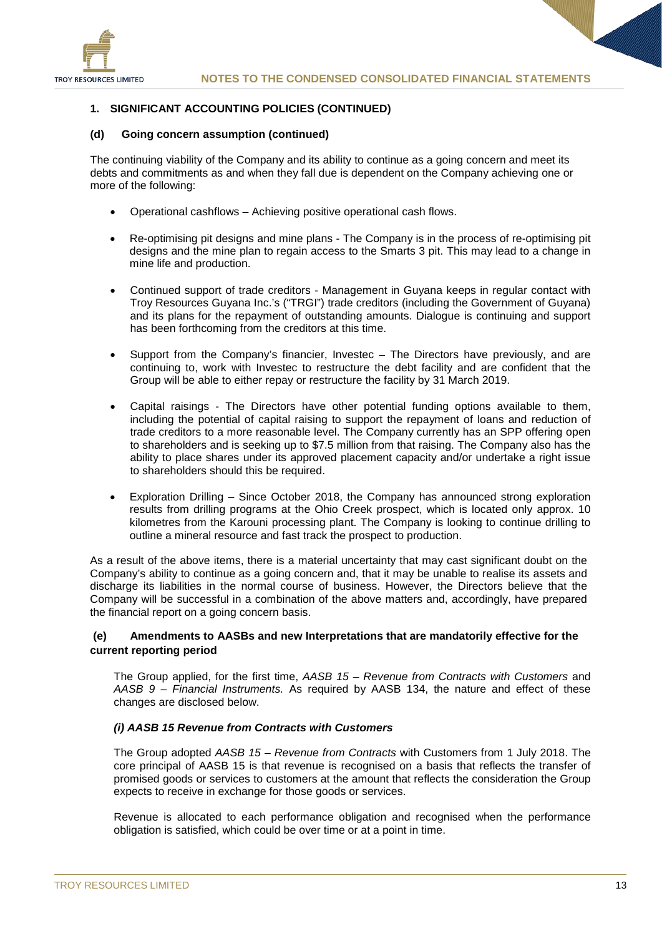

#### **1. SIGNIFICANT ACCOUNTING POLICIES (CONTINUED)**

#### **(d) Going concern assumption (continued)**

The continuing viability of the Company and its ability to continue as a going concern and meet its debts and commitments as and when they fall due is dependent on the Company achieving one or more of the following:

- Operational cashflows Achieving positive operational cash flows.
- Re-optimising pit designs and mine plans The Company is in the process of re-optimising pit designs and the mine plan to regain access to the Smarts 3 pit. This may lead to a change in mine life and production.
- Continued support of trade creditors Management in Guyana keeps in regular contact with Troy Resources Guyana Inc.'s ("TRGI") trade creditors (including the Government of Guyana) and its plans for the repayment of outstanding amounts. Dialogue is continuing and support has been forthcoming from the creditors at this time.
- Support from the Company's financier, Investec The Directors have previously, and are continuing to, work with Investec to restructure the debt facility and are confident that the Group will be able to either repay or restructure the facility by 31 March 2019.
- Capital raisings The Directors have other potential funding options available to them, including the potential of capital raising to support the repayment of loans and reduction of trade creditors to a more reasonable level. The Company currently has an SPP offering open to shareholders and is seeking up to \$7.5 million from that raising. The Company also has the ability to place shares under its approved placement capacity and/or undertake a right issue to shareholders should this be required.
- Exploration Drilling Since October 2018, the Company has announced strong exploration results from drilling programs at the Ohio Creek prospect, which is located only approx. 10 kilometres from the Karouni processing plant. The Company is looking to continue drilling to outline a mineral resource and fast track the prospect to production.

As a result of the above items, there is a material uncertainty that may cast significant doubt on the Company's ability to continue as a going concern and, that it may be unable to realise its assets and discharge its liabilities in the normal course of business. However, the Directors believe that the Company will be successful in a combination of the above matters and, accordingly, have prepared the financial report on a going concern basis.

#### **(e) Amendments to AASBs and new Interpretations that are mandatorily effective for the current reporting period**

The Group applied, for the first time, *AASB 15 – Revenue from Contracts with Customers* and *AASB 9 – Financial Instruments.* As required by AASB 134, the nature and effect of these changes are disclosed below.

#### *(i) AASB 15 Revenue from Contracts with Customers*

The Group adopted *AASB 15 – Revenue from Contracts* with Customers from 1 July 2018. The core principal of AASB 15 is that revenue is recognised on a basis that reflects the transfer of promised goods or services to customers at the amount that reflects the consideration the Group expects to receive in exchange for those goods or services.

Revenue is allocated to each performance obligation and recognised when the performance obligation is satisfied, which could be over time or at a point in time.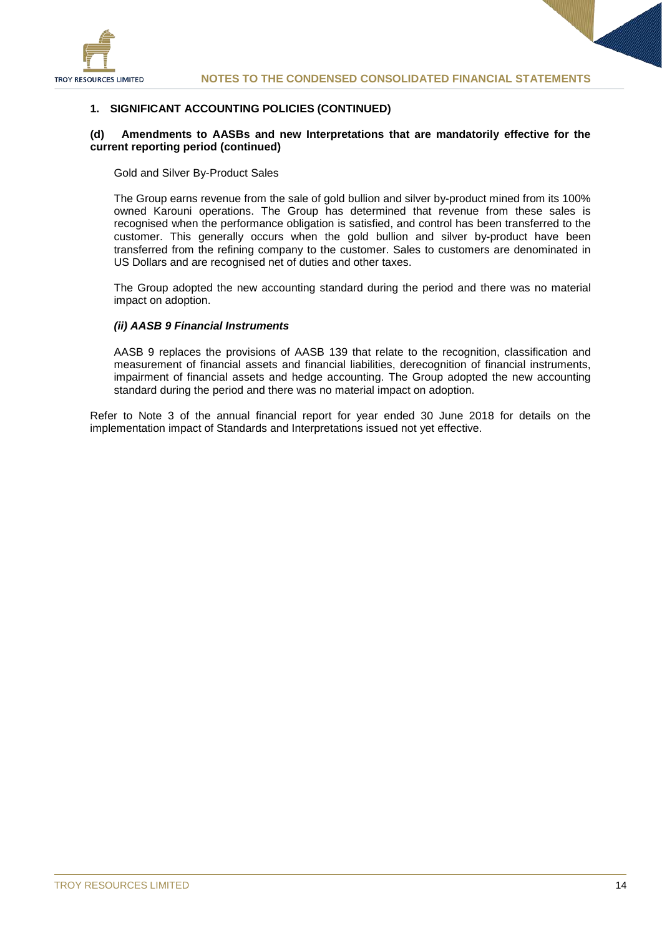

#### **1. SIGNIFICANT ACCOUNTING POLICIES (CONTINUED)**

#### **(d) Amendments to AASBs and new Interpretations that are mandatorily effective for the current reporting period (continued)**

Gold and Silver By-Product Sales

The Group earns revenue from the sale of gold bullion and silver by-product mined from its 100% owned Karouni operations. The Group has determined that revenue from these sales is recognised when the performance obligation is satisfied, and control has been transferred to the customer. This generally occurs when the gold bullion and silver by-product have been transferred from the refining company to the customer. Sales to customers are denominated in US Dollars and are recognised net of duties and other taxes.

The Group adopted the new accounting standard during the period and there was no material impact on adoption.

#### *(ii) AASB 9 Financial Instruments*

AASB 9 replaces the provisions of AASB 139 that relate to the recognition, classification and measurement of financial assets and financial liabilities, derecognition of financial instruments, impairment of financial assets and hedge accounting. The Group adopted the new accounting standard during the period and there was no material impact on adoption.

Refer to Note 3 of the annual financial report for year ended 30 June 2018 for details on the implementation impact of Standards and Interpretations issued not yet effective.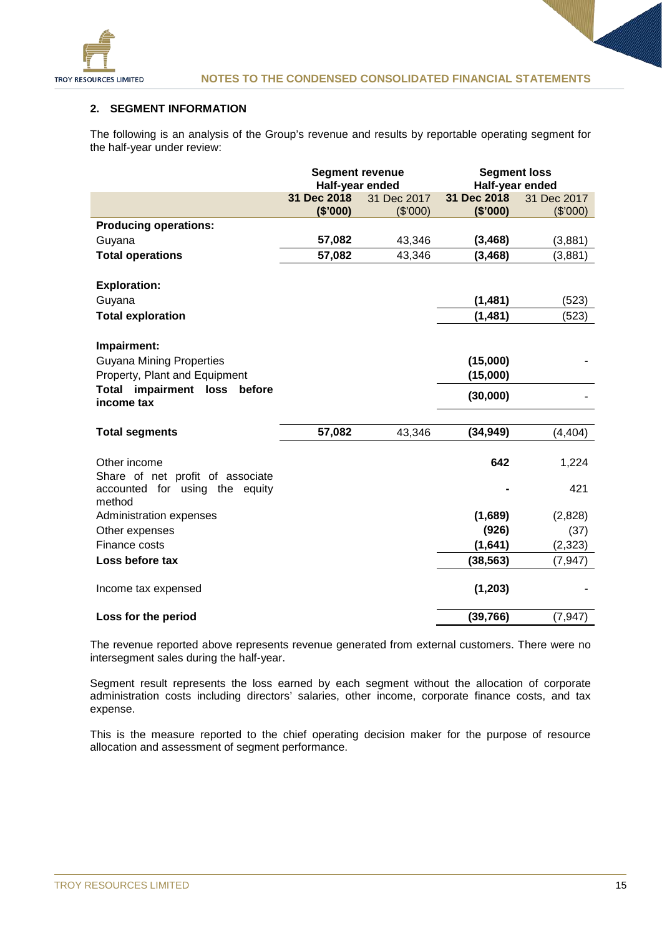

#### **2. SEGMENT INFORMATION**

The following is an analysis of the Group's revenue and results by reportable operating segment for the half-year under review:

|                                        | <b>Segment revenue</b> |             | <b>Segment loss</b> |             |  |
|----------------------------------------|------------------------|-------------|---------------------|-------------|--|
|                                        | Half-year ended        |             | Half-year ended     |             |  |
|                                        | 31 Dec 2018            | 31 Dec 2017 | 31 Dec 2018         | 31 Dec 2017 |  |
|                                        | (\$'000)               | (\$'000)    | (\$'000)            | (\$7000)    |  |
| <b>Producing operations:</b>           |                        |             |                     |             |  |
| Guyana                                 | 57,082                 | 43,346      | (3, 468)            | (3,881)     |  |
| <b>Total operations</b>                | 57,082                 | 43,346      | (3, 468)            | (3,881)     |  |
|                                        |                        |             |                     |             |  |
| <b>Exploration:</b>                    |                        |             |                     |             |  |
| Guyana                                 |                        |             | (1, 481)            | (523)       |  |
| <b>Total exploration</b>               |                        |             | (1, 481)            | (523)       |  |
|                                        |                        |             |                     |             |  |
| Impairment:                            |                        |             |                     |             |  |
| <b>Guyana Mining Properties</b>        |                        |             | (15,000)            |             |  |
| Property, Plant and Equipment          |                        |             | (15,000)            |             |  |
| <b>Total impairment loss</b><br>before |                        |             |                     |             |  |
| income tax                             |                        |             | (30,000)            |             |  |
|                                        |                        |             |                     |             |  |
| <b>Total segments</b>                  | 57,082                 | 43,346      | (34, 949)           | (4, 404)    |  |
| Other income                           |                        |             | 642                 | 1,224       |  |
| Share of net profit of associate       |                        |             |                     |             |  |
| accounted for using the equity         |                        |             |                     | 421         |  |
| method                                 |                        |             |                     |             |  |
| Administration expenses                |                        |             | (1,689)             | (2,828)     |  |
| Other expenses                         |                        |             | (926)               | (37)        |  |
| Finance costs                          |                        |             | (1,641)             | (2, 323)    |  |
| Loss before tax                        |                        |             | (38, 563)           | (7, 947)    |  |
|                                        |                        |             |                     |             |  |
| Income tax expensed                    |                        |             | (1, 203)            |             |  |
| Loss for the period                    |                        |             | (39, 766)           | (7, 947)    |  |

The revenue reported above represents revenue generated from external customers. There were no intersegment sales during the half-year.

Segment result represents the loss earned by each segment without the allocation of corporate administration costs including directors' salaries, other income, corporate finance costs, and tax expense.

This is the measure reported to the chief operating decision maker for the purpose of resource allocation and assessment of segment performance.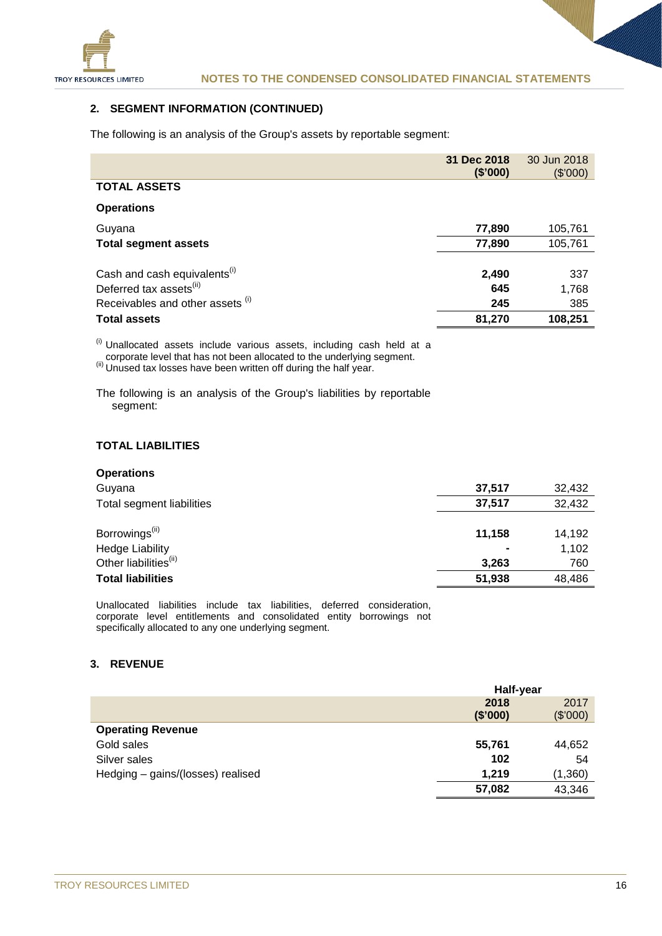

#### **2. SEGMENT INFORMATION (CONTINUED)**

The following is an analysis of the Group's assets by reportable segment:

|                                                                                                                     | 31 Dec 2018<br>(\$'000) | 30 Jun 2018<br>(\$7000) |
|---------------------------------------------------------------------------------------------------------------------|-------------------------|-------------------------|
| <b>TOTAL ASSETS</b>                                                                                                 |                         |                         |
| <b>Operations</b>                                                                                                   |                         |                         |
| Guyana                                                                                                              | 77,890                  | 105,761                 |
| <b>Total segment assets</b>                                                                                         | 77,890                  | 105,761                 |
| Cash and cash equivalents <sup>(i)</sup><br>Deferred tax assets <sup>(ii)</sup><br>Receivables and other assets (i) | 2,490<br>645<br>245     | 337<br>1,768<br>385     |
| <b>Total assets</b>                                                                                                 | 81,270                  | 108,251                 |

<sup>(i)</sup> Unallocated assets include various assets, including cash held at a

 $\frac{\text{(ii)}}{\text{(iii)}}$  Corporate level that has not been allocated to the underlying segment.<br> $\frac{\text{(ii)}}{\text{(iv)}}$  Unused tax losses have been written off during the half year.

The following is an analysis of the Group's liabilities by reportable segment:

#### **TOTAL LIABILITIES**

| <b>Operations</b>                 |                |        |
|-----------------------------------|----------------|--------|
| Guyana                            | 37.517         | 32,432 |
| Total segment liabilities         | 37.517         | 32,432 |
|                                   |                |        |
| Borrowings <sup>(ii)</sup>        | 11,158         | 14,192 |
| <b>Hedge Liability</b>            | $\blacksquare$ | 1,102  |
| Other liabilities <sup>(ii)</sup> | 3,263          | 760    |
| <b>Total liabilities</b>          | 51,938         | 48,486 |

Unallocated liabilities include tax liabilities, deferred consideration, corporate level entitlements and consolidated entity borrowings not specifically allocated to any one underlying segment.

#### **3. REVENUE**

|                                   | Half-year |          |
|-----------------------------------|-----------|----------|
|                                   | 2018      | 2017     |
|                                   | (\$'000)  | (\$'000) |
| <b>Operating Revenue</b>          |           |          |
| Gold sales                        | 55,761    | 44,652   |
| Silver sales                      | 102       | 54       |
| Hedging - gains/(losses) realised | 1,219     | (1,360)  |
|                                   | 57,082    | 43,346   |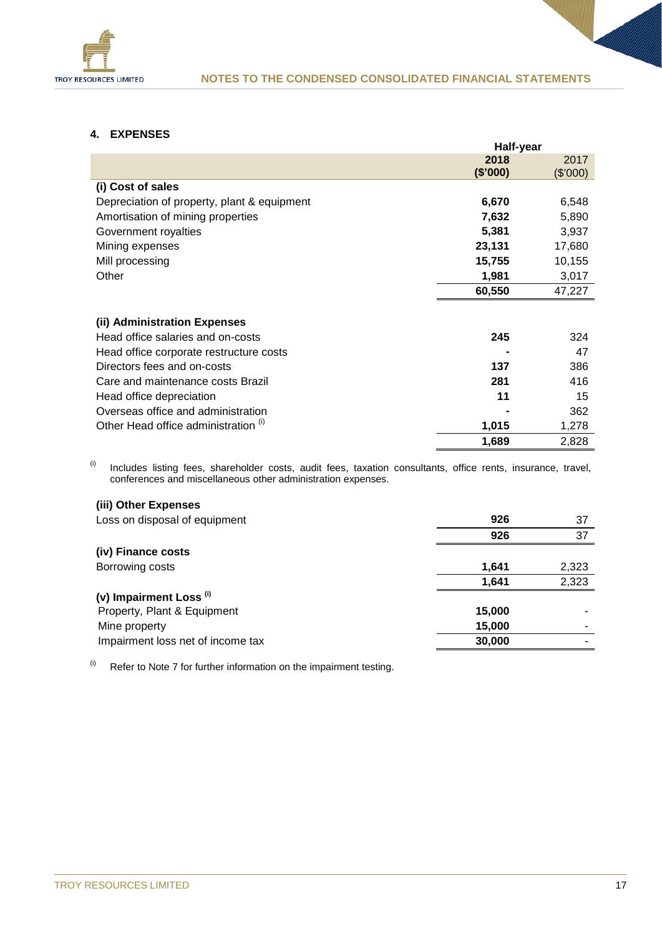

#### **4. EXPENSES**

|                                             | Half-year |          |
|---------------------------------------------|-----------|----------|
|                                             | 2018      | 2017     |
|                                             | (\$'000)  | (\$'000) |
| (i) Cost of sales                           |           |          |
| Depreciation of property, plant & equipment | 6,670     | 6,548    |
| Amortisation of mining properties           | 7,632     | 5,890    |
| Government royalties                        | 5,381     | 3,937    |
| Mining expenses                             | 23,131    | 17,680   |
| Mill processing                             | 15,755    | 10,155   |
| Other                                       | 1,981     | 3,017    |
|                                             | 60,550    | 47,227   |
|                                             |           |          |
| (ii) Administration Expenses                |           |          |
| Head office salaries and on-costs           | 245       | 324      |
| Head office corporate restructure costs     |           | 47       |
| Directors fees and on-costs                 | 137       | 386      |
| Care and maintenance costs Brazil           | 281       | 416      |
| Head office depreciation                    | 11        | 15       |
| Overseas office and administration          |           | 362      |
| Other Head office administration (i)        | 1,015     | 1,278    |
|                                             | 1,689     | 2,828    |

 $(ii)$  Includes listing fees, shareholder costs, audit fees, taxation consultants, office rents, insurance, travel, conferences and miscellaneous other administration expenses.

#### **(iii) Other Expenses**

| Loss on disposal of equipment      | 926    | 37    |
|------------------------------------|--------|-------|
|                                    | 926    | 37    |
| (iv) Finance costs                 |        |       |
| Borrowing costs                    | 1,641  | 2,323 |
|                                    | 1,641  | 2,323 |
| (v) Impairment Loss <sup>(i)</sup> |        |       |
| Property, Plant & Equipment        | 15,000 |       |
| Mine property                      | 15,000 |       |
| Impairment loss net of income tax  | 30,000 |       |
|                                    |        |       |

 $(ii)$  Refer to Note 7 for further information on the impairment testing.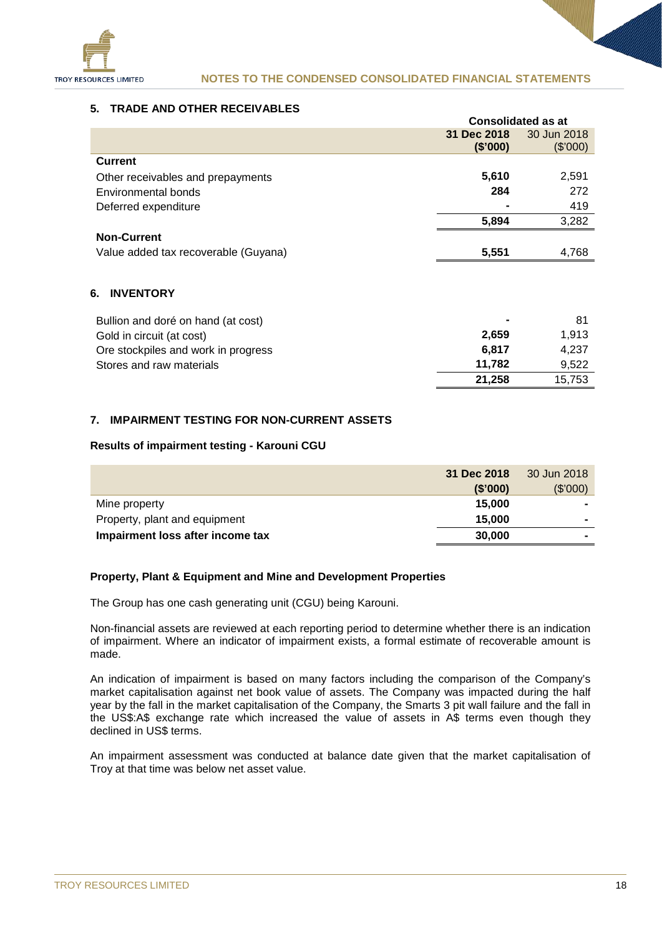

#### **NOTES TO THE CONDENSED CONSOLIDATED FINANCIAL STATEMENTS**

#### **5. TRADE AND OTHER RECEIVABLES**

|                                      | <b>Consolidated as at</b> |             |
|--------------------------------------|---------------------------|-------------|
|                                      | 31 Dec 2018               | 30 Jun 2018 |
|                                      | (\$'000)                  | (\$'000)    |
| <b>Current</b>                       |                           |             |
| Other receivables and prepayments    | 5,610                     | 2,591       |
| Environmental bonds                  | 284                       | 272         |
| Deferred expenditure                 |                           | 419         |
|                                      | 5,894                     | 3,282       |
| <b>Non-Current</b>                   |                           |             |
| Value added tax recoverable (Guyana) | 5,551                     | 4,768       |
| 6.<br><b>INVENTORY</b>               |                           |             |
| Bullion and doré on hand (at cost)   |                           | 81          |
| Gold in circuit (at cost)            | 2,659                     | 1,913       |
| Ore stockpiles and work in progress  | 6,817                     | 4,237       |
| Stores and raw materials             | 11.782                    | 9,522       |

#### **7. IMPAIRMENT TESTING FOR NON-CURRENT ASSETS**

#### **Results of impairment testing - Karouni CGU**

|                                  | 31 Dec 2018 | 30 Jun 2018    |
|----------------------------------|-------------|----------------|
|                                  | (\$'000)    | (\$'000)       |
| Mine property                    | 15,000      | $\blacksquare$ |
| Property, plant and equipment    | 15,000      | $\blacksquare$ |
| Impairment loss after income tax | 30,000      |                |

#### **Property, Plant & Equipment and Mine and Development Properties**

The Group has one cash generating unit (CGU) being Karouni.

Non-financial assets are reviewed at each reporting period to determine whether there is an indication of impairment. Where an indicator of impairment exists, a formal estimate of recoverable amount is made.

An indication of impairment is based on many factors including the comparison of the Company's market capitalisation against net book value of assets. The Company was impacted during the half year by the fall in the market capitalisation of the Company, the Smarts 3 pit wall failure and the fall in the US\$:A\$ exchange rate which increased the value of assets in A\$ terms even though they declined in US\$ terms.

An impairment assessment was conducted at balance date given that the market capitalisation of Troy at that time was below net asset value.

**21,258** 15,753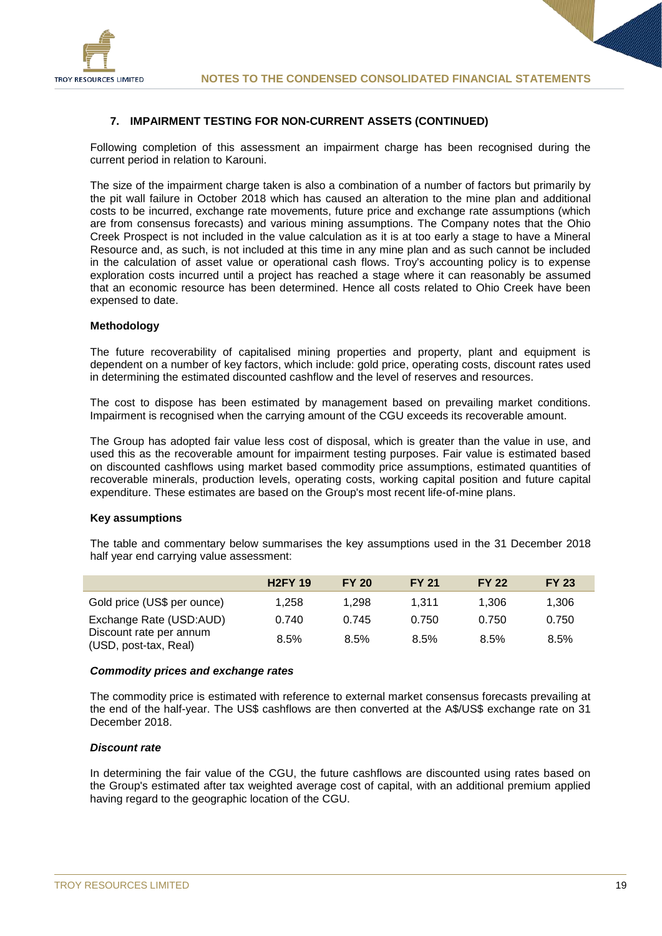

#### **7. IMPAIRMENT TESTING FOR NON-CURRENT ASSETS (CONTINUED)**

Following completion of this assessment an impairment charge has been recognised during the current period in relation to Karouni.

The size of the impairment charge taken is also a combination of a number of factors but primarily by the pit wall failure in October 2018 which has caused an alteration to the mine plan and additional costs to be incurred, exchange rate movements, future price and exchange rate assumptions (which are from consensus forecasts) and various mining assumptions. The Company notes that the Ohio Creek Prospect is not included in the value calculation as it is at too early a stage to have a Mineral Resource and, as such, is not included at this time in any mine plan and as such cannot be included in the calculation of asset value or operational cash flows. Troy's accounting policy is to expense exploration costs incurred until a project has reached a stage where it can reasonably be assumed that an economic resource has been determined. Hence all costs related to Ohio Creek have been expensed to date.

#### **Methodology**

The future recoverability of capitalised mining properties and property, plant and equipment is dependent on a number of key factors, which include: gold price, operating costs, discount rates used in determining the estimated discounted cashflow and the level of reserves and resources.

The cost to dispose has been estimated by management based on prevailing market conditions. Impairment is recognised when the carrying amount of the CGU exceeds its recoverable amount.

The Group has adopted fair value less cost of disposal, which is greater than the value in use, and used this as the recoverable amount for impairment testing purposes. Fair value is estimated based on discounted cashflows using market based commodity price assumptions, estimated quantities of recoverable minerals, production levels, operating costs, working capital position and future capital expenditure. These estimates are based on the Group's most recent life-of-mine plans.

#### **Key assumptions**

The table and commentary below summarises the key assumptions used in the 31 December 2018 half year end carrying value assessment:

|                                                  | <b>H2FY 19</b> | <b>FY 20</b> | <b>FY 21</b> | <b>FY 22</b> | <b>FY 23</b> |
|--------------------------------------------------|----------------|--------------|--------------|--------------|--------------|
| Gold price (US\$ per ounce)                      | 1.258          | 1.298        | 1.311        | 1.306        | 1,306        |
| Exchange Rate (USD:AUD)                          | 0.740          | 0.745        | 0.750        | 0.750        | 0.750        |
| Discount rate per annum<br>(USD, post-tax, Real) | 8.5%           | 8.5%         | 8.5%         | 8.5%         | 8.5%         |

#### *Commodity prices and exchange rates*

The commodity price is estimated with reference to external market consensus forecasts prevailing at the end of the half-year. The US\$ cashflows are then converted at the A\$/US\$ exchange rate on 31 December 2018.

#### *Discount rate*

In determining the fair value of the CGU, the future cashflows are discounted using rates based on the Group's estimated after tax weighted average cost of capital, with an additional premium applied having regard to the geographic location of the CGU.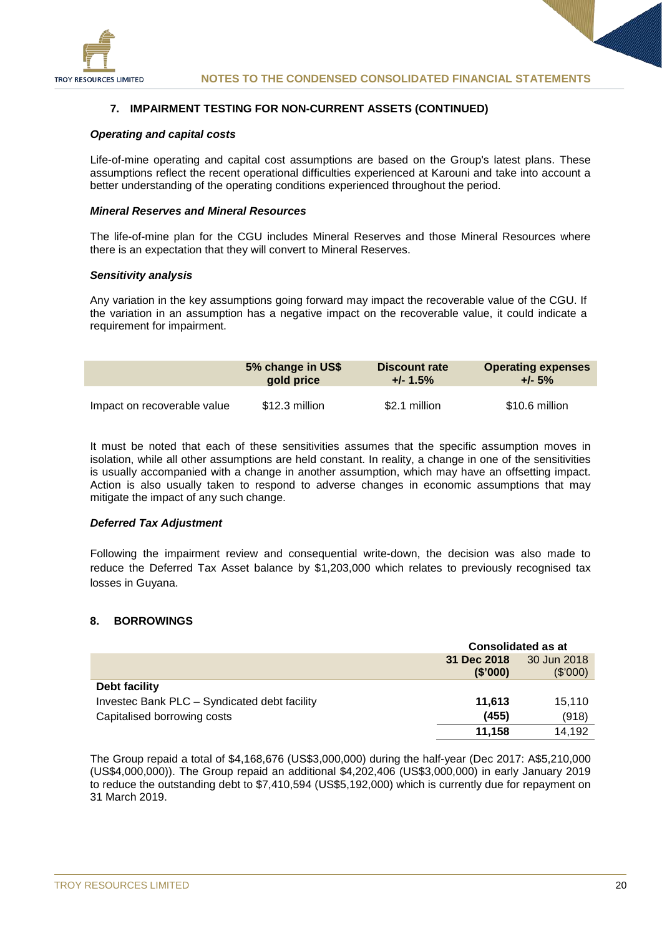

#### **7. IMPAIRMENT TESTING FOR NON-CURRENT ASSETS (CONTINUED)**

#### *Operating and capital costs*

Life-of-mine operating and capital cost assumptions are based on the Group's latest plans. These assumptions reflect the recent operational difficulties experienced at Karouni and take into account a better understanding of the operating conditions experienced throughout the period.

#### *Mineral Reserves and Mineral Resources*

The life-of-mine plan for the CGU includes Mineral Reserves and those Mineral Resources where there is an expectation that they will convert to Mineral Reserves.

#### *Sensitivity analysis*

Any variation in the key assumptions going forward may impact the recoverable value of the CGU. If the variation in an assumption has a negative impact on the recoverable value, it could indicate a requirement for impairment.

|                             | 5% change in US\$<br>gold price |               | <b>Operating expenses</b><br>$+/- 5%$ |  |
|-----------------------------|---------------------------------|---------------|---------------------------------------|--|
| Impact on recoverable value | \$12.3 million                  | \$2.1 million | \$10.6 million                        |  |

It must be noted that each of these sensitivities assumes that the specific assumption moves in isolation, while all other assumptions are held constant. In reality, a change in one of the sensitivities is usually accompanied with a change in another assumption, which may have an offsetting impact. Action is also usually taken to respond to adverse changes in economic assumptions that may mitigate the impact of any such change.

#### *Deferred Tax Adjustment*

Following the impairment review and consequential write-down, the decision was also made to reduce the Deferred Tax Asset balance by \$1,203,000 which relates to previously recognised tax losses in Guyana.

#### **8. BORROWINGS**

|                                              | <b>Consolidated as at</b> |             |  |
|----------------------------------------------|---------------------------|-------------|--|
|                                              | 31 Dec 2018               | 30 Jun 2018 |  |
|                                              | (\$'000)                  | (\$'000)    |  |
| Debt facility                                |                           |             |  |
| Investec Bank PLC - Syndicated debt facility | 11,613                    | 15.110      |  |
| Capitalised borrowing costs                  | (455)                     | (918)       |  |
|                                              | 11.158                    | 14.192      |  |

The Group repaid a total of \$4,168,676 (US\$3,000,000) during the half-year (Dec 2017: A\$5,210,000 (US\$4,000,000)). The Group repaid an additional \$4,202,406 (US\$3,000,000) in early January 2019 to reduce the outstanding debt to \$7,410,594 (US\$5,192,000) which is currently due for repayment on 31 March 2019.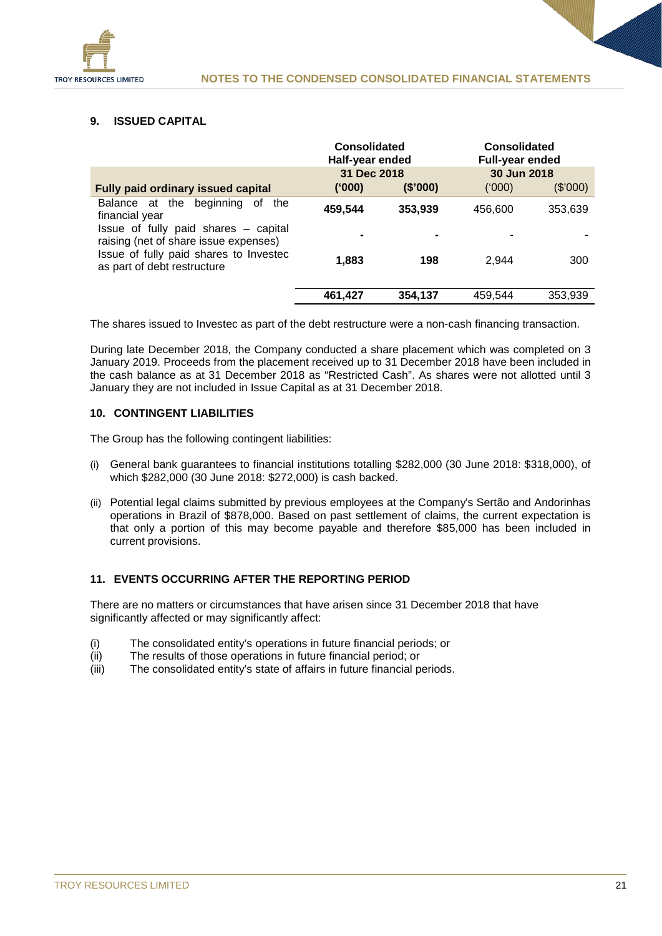

#### **9. ISSUED CAPITAL**

|                                                                               | <b>Consolidated</b><br>Half-year ended |          | <b>Consolidated</b><br><b>Full-year ended</b> |          |
|-------------------------------------------------------------------------------|----------------------------------------|----------|-----------------------------------------------|----------|
|                                                                               | 31 Dec 2018                            |          | 30 Jun 2018                                   |          |
| <b>Fully paid ordinary issued capital</b>                                     | (000)                                  | (\$'000) | (000)                                         | (\$'000) |
| Balance at the beginning of<br>the<br>financial year                          | 459,544                                | 353,939  | 456,600                                       | 353,639  |
| Issue of fully paid shares – capital<br>raising (net of share issue expenses) |                                        |          |                                               |          |
| Issue of fully paid shares to Investec<br>as part of debt restructure         | 1.883                                  | 198      | 2.944                                         | 300      |
|                                                                               | 461,427                                | 354,137  | 459,544                                       | 353,939  |

The shares issued to Investec as part of the debt restructure were a non-cash financing transaction.

During late December 2018, the Company conducted a share placement which was completed on 3 January 2019. Proceeds from the placement received up to 31 December 2018 have been included in the cash balance as at 31 December 2018 as "Restricted Cash". As shares were not allotted until 3 January they are not included in Issue Capital as at 31 December 2018.

#### **10. CONTINGENT LIABILITIES**

The Group has the following contingent liabilities:

- (i) General bank guarantees to financial institutions totalling \$282,000 (30 June 2018: \$318,000), of which \$282,000 (30 June 2018: \$272,000) is cash backed.
- (ii) Potential legal claims submitted by previous employees at the Company's Sertão and Andorinhas operations in Brazil of \$878,000. Based on past settlement of claims, the current expectation is that only a portion of this may become payable and therefore \$85,000 has been included in current provisions.

#### **11. EVENTS OCCURRING AFTER THE REPORTING PERIOD**

There are no matters or circumstances that have arisen since 31 December 2018 that have significantly affected or may significantly affect:

- (i) The consolidated entity's operations in future financial periods; or <br>(ii) The results of those operations in future financial period: or
- (ii) The results of those operations in future financial period; or<br>(iii) The consolidated entity's state of affairs in future financial p
- The consolidated entity's state of affairs in future financial periods.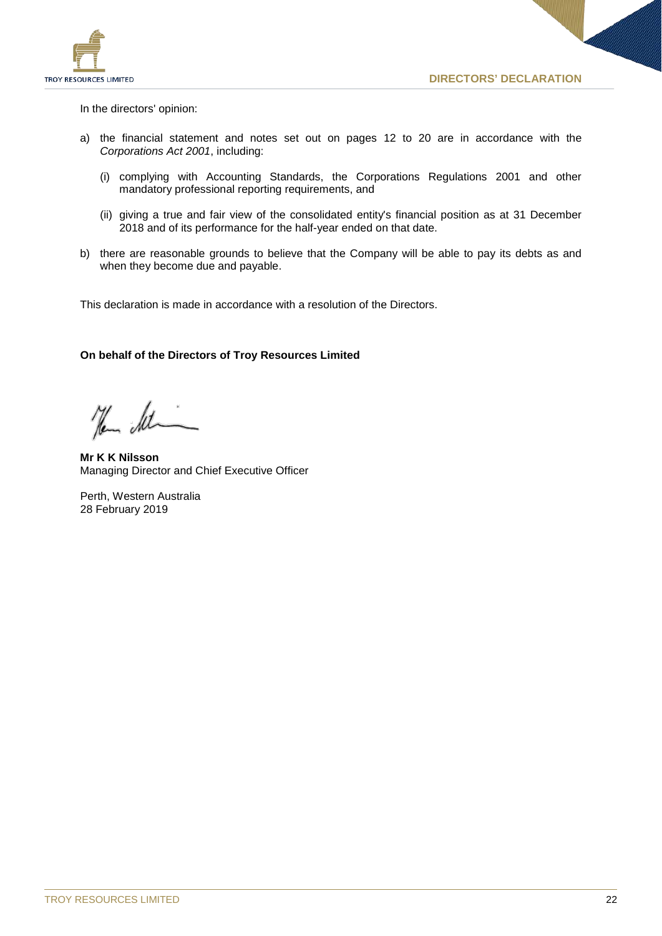

In the directors' opinion:

- a) the financial statement and notes set out on pages 12 to 20 are in accordance with the *Corporations Act 2001*, including:
	- (i) complying with Accounting Standards, the Corporations Regulations 2001 and other mandatory professional reporting requirements, and
	- (ii) giving a true and fair view of the consolidated entity's financial position as at 31 December 2018 and of its performance for the half-year ended on that date.
- b) there are reasonable grounds to believe that the Company will be able to pay its debts as and when they become due and payable.

This declaration is made in accordance with a resolution of the Directors.

#### **On behalf of the Directors of Troy Resources Limited**

Hem St

**Mr K K Nilsson** Managing Director and Chief Executive Officer

Perth, Western Australia 28 February 2019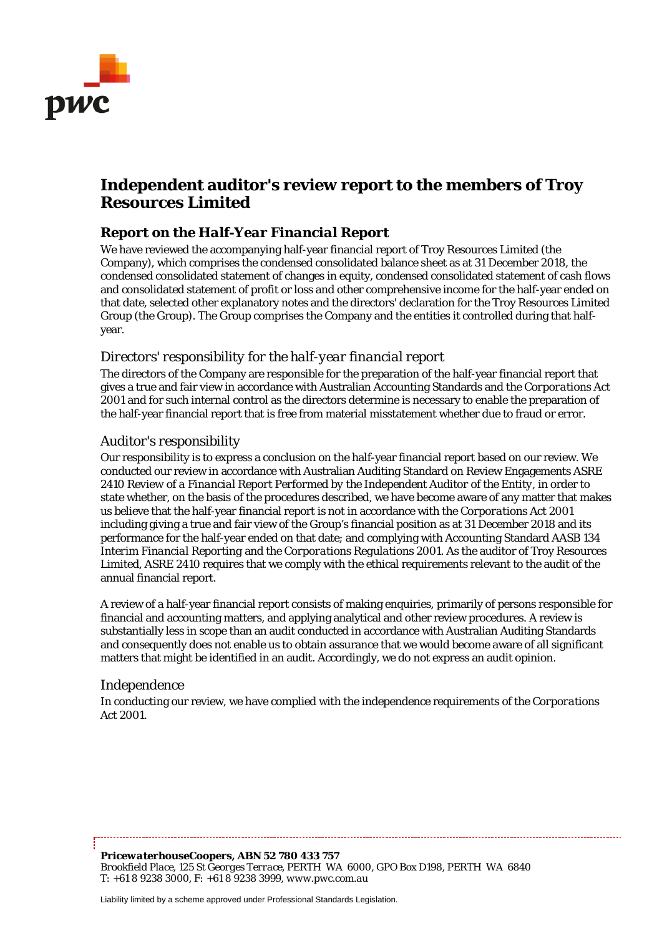

## **Independent auditor's review report to the members of Troy Resources Limited**

#### *Report on the Half-Year Financial Report*

We have reviewed the accompanying half-year financial report of Troy Resources Limited (the Company), which comprises the condensed consolidated balance sheet as at 31 December 2018, the condensed consolidated statement of changes in equity, condensed consolidated statement of cash flows and consolidated statement of profit or loss and other comprehensive income for the half-year ended on that date, selected other explanatory notes and the directors' declaration for the Troy Resources Limited Group (the Group). The Group comprises the Company and the entities it controlled during that halfyear.

#### *Directors' responsibility for the half-year financial report*

The directors of the Company are responsible for the preparation of the half-year financial report that gives a true and fair view in accordance with Australian Accounting Standards and the *Corporations Act 2001* and for such internal control as the directors determine is necessary to enable the preparation of the half-year financial report that is free from material misstatement whether due to fraud or error.

#### *Auditor's responsibility*

Our responsibility is to express a conclusion on the half-year financial report based on our review. We conducted our review in accordance with Australian Auditing Standard on Review Engagements ASRE 2410 *Review of a Financial Report Performed by the Independent Auditor of the Entity*, in order to state whether, on the basis of the procedures described, we have become aware of any matter that makes us believe that the half-year financial report is not in accordance with the *Corporations Act 2001* including giving a true and fair view of the Group's financial position as at 31 December 2018 and its performance for the half-year ended on that date; and complying with Accounting Standard AASB 134 *Interim Financial Reporting* and the *Corporations Regulations 2001*. As the auditor of Troy Resources Limited, ASRE 2410 requires that we comply with the ethical requirements relevant to the audit of the annual financial report.

A review of a half-year financial report consists of making enquiries, primarily of persons responsible for financial and accounting matters, and applying analytical and other review procedures. A review is substantially less in scope than an audit conducted in accordance with Australian Auditing Standards and consequently does not enable us to obtain assurance that we would become aware of all significant matters that might be identified in an audit. Accordingly, we do not express an audit opinion.

#### *Independence*

In conducting our review, we have complied with the independence requirements of the *Corporations Act 2001*.

*PricewaterhouseCoopers, ABN 52 780 433 757 Brookfield Place, 125 St Georges Terrace, PERTH WA 6000, GPO Box D198, PERTH WA 6840 T: +61 8 9238 3000, F: +61 8 9238 3999, www.pwc.com.au*

Liability limited by a scheme approved under Professional Standards Legislation.